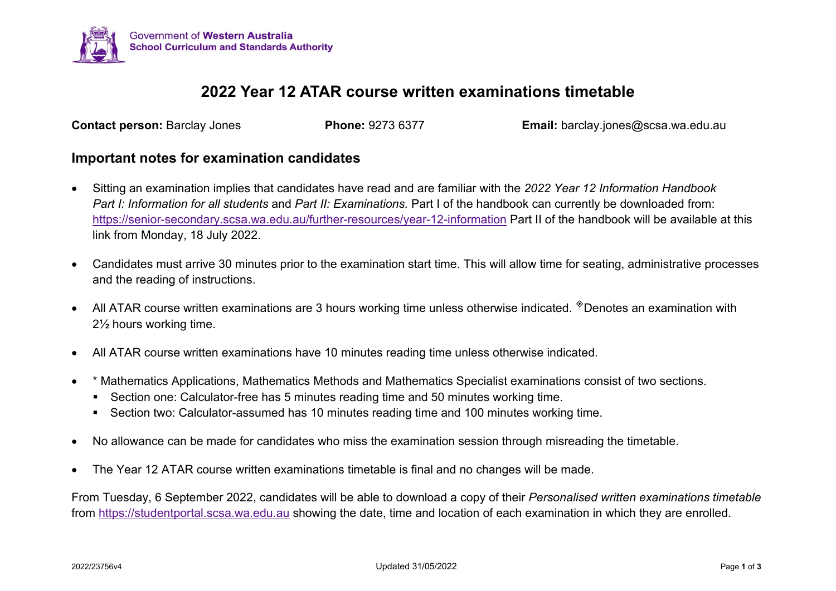

## **2022 Year 12 ATAR course written examinations timetable**

**Contact person:** Barclay Jones **Phone:** 9273 6377 **Email:** barclay.jones@scsa.wa.edu.au

## **Important notes for examination candidates**

- Sitting an examination implies that candidates have read and are familiar with the *2022 Year 12 Information Handbook Part I: Information for all students* and *Part II: Examinations*. Part I of the handbook can currently be downloaded from: <https://senior-secondary.scsa.wa.edu.au/further-resources/year-12-information> Part II of the handbook will be available at this link from Monday, 18 July 2022.
- Candidates must arrive 30 minutes prior to the examination start time. This will allow time for seating, administrative processes and the reading of instructions.
- All ATAR course written examinations are 3 hours working time unless otherwise indicated.  $^{\circ}$ Denotes an examination with 2½ hours working time.
- All ATAR course written examinations have 10 minutes reading time unless otherwise indicated.
- \* Mathematics Applications, Mathematics Methods and Mathematics Specialist examinations consist of two sections.
	- Section one: Calculator-free has 5 minutes reading time and 50 minutes working time.
	- Section two: Calculator-assumed has 10 minutes reading time and 100 minutes working time.
- No allowance can be made for candidates who miss the examination session through misreading the timetable.
- The Year 12 ATAR course written examinations timetable is final and no changes will be made.

From Tuesday, 6 September 2022, candidates will be able to download a copy of their *Personalised written examinations timetable*  from [https://studentportal.scsa.wa.edu.au](https://studentportal.scsa.wa.edu.au/) showing the date, time and location of each examination in which they are enrolled.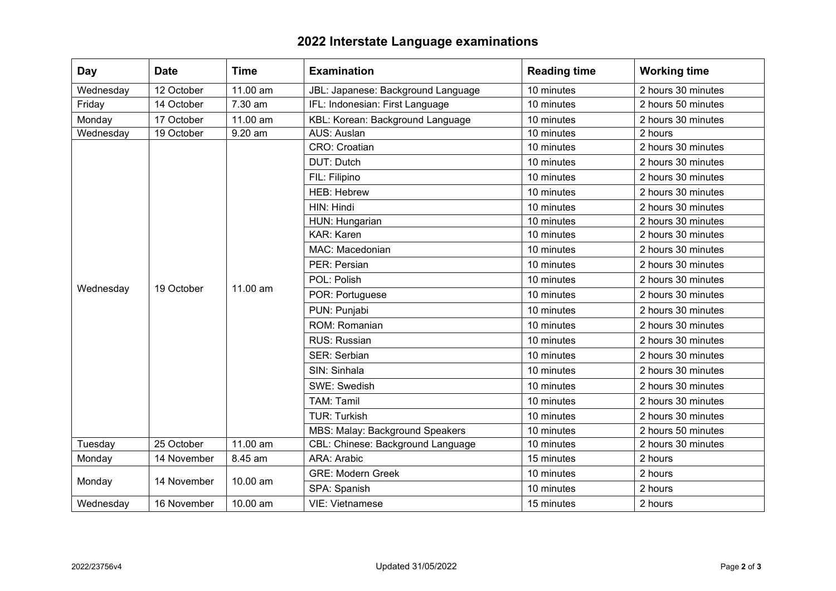## **2022 Interstate Language examinations**

| Day       | <b>Date</b> | <b>Time</b> | <b>Examination</b>                 | <b>Reading time</b> | <b>Working time</b> |
|-----------|-------------|-------------|------------------------------------|---------------------|---------------------|
| Wednesday | 12 October  | 11.00 am    | JBL: Japanese: Background Language | 10 minutes          | 2 hours 30 minutes  |
| Friday    | 14 October  | 7.30 am     | IFL: Indonesian: First Language    | 10 minutes          | 2 hours 50 minutes  |
| Monday    | 17 October  | 11.00 am    | KBL: Korean: Background Language   | 10 minutes          | 2 hours 30 minutes  |
| Wednesday | 19 October  | 9.20 am     | AUS: Auslan                        | 10 minutes          | 2 hours             |
| Wednesday | 19 October  | 11.00 am    | CRO: Croatian                      | 10 minutes          | 2 hours 30 minutes  |
|           |             |             | <b>DUT: Dutch</b>                  | 10 minutes          | 2 hours 30 minutes  |
|           |             |             | FIL: Filipino                      | 10 minutes          | 2 hours 30 minutes  |
|           |             |             | <b>HEB: Hebrew</b>                 | 10 minutes          | 2 hours 30 minutes  |
|           |             |             | HIN: Hindi                         | 10 minutes          | 2 hours 30 minutes  |
|           |             |             | HUN: Hungarian                     | 10 minutes          | 2 hours 30 minutes  |
|           |             |             | <b>KAR: Karen</b>                  | 10 minutes          | 2 hours 30 minutes  |
|           |             |             | MAC: Macedonian                    | 10 minutes          | 2 hours 30 minutes  |
|           |             |             | PER: Persian                       | 10 minutes          | 2 hours 30 minutes  |
|           |             |             | POL: Polish                        | 10 minutes          | 2 hours 30 minutes  |
|           |             |             | POR: Portuguese                    | 10 minutes          | 2 hours 30 minutes  |
|           |             |             | PUN: Punjabi                       | 10 minutes          | 2 hours 30 minutes  |
|           |             |             | ROM: Romanian                      | 10 minutes          | 2 hours 30 minutes  |
|           |             |             | RUS: Russian                       | 10 minutes          | 2 hours 30 minutes  |
|           |             |             | <b>SER: Serbian</b>                | 10 minutes          | 2 hours 30 minutes  |
|           |             |             | SIN: Sinhala                       | 10 minutes          | 2 hours 30 minutes  |
|           |             |             | SWE: Swedish                       | 10 minutes          | 2 hours 30 minutes  |
|           |             |             | <b>TAM: Tamil</b>                  | 10 minutes          | 2 hours 30 minutes  |
|           |             |             | <b>TUR: Turkish</b>                | 10 minutes          | 2 hours 30 minutes  |
|           |             |             | MBS: Malay: Background Speakers    | 10 minutes          | 2 hours 50 minutes  |
| Tuesday   | 25 October  | 11.00 am    | CBL: Chinese: Background Language  | 10 minutes          | 2 hours 30 minutes  |
| Monday    | 14 November | 8.45 am     | ARA: Arabic                        | 15 minutes          | 2 hours             |
| Monday    | 14 November | 10.00 am    | <b>GRE: Modern Greek</b>           | 10 minutes          | 2 hours             |
|           |             |             | SPA: Spanish                       | 10 minutes          | 2 hours             |
| Wednesday | 16 November | 10.00 am    | <b>VIE: Vietnamese</b>             | 15 minutes          | 2 hours             |